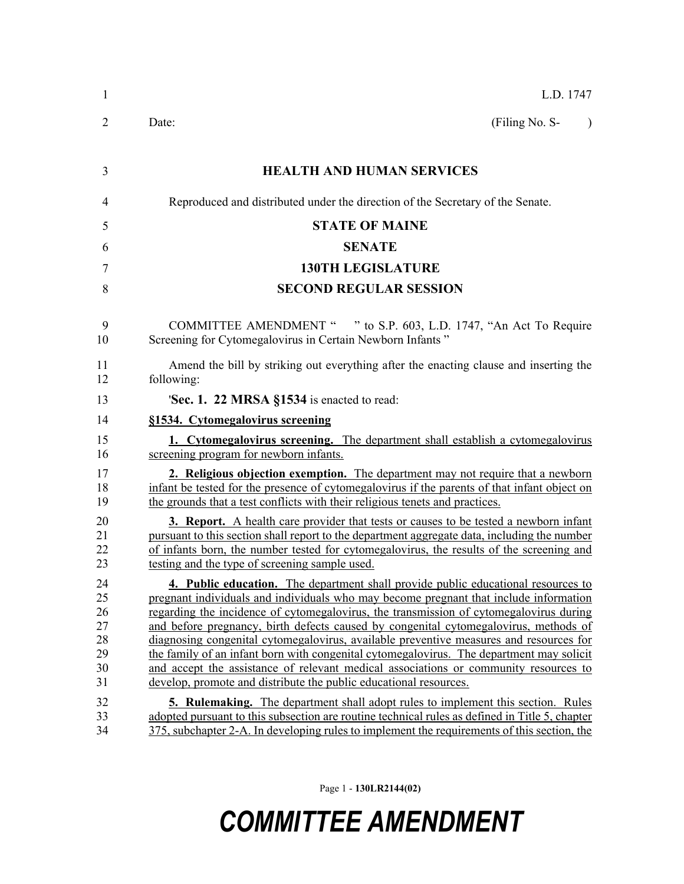| $\mathbf{1}$                                 | L.D. 1747                                                                                                                                                                                                                                                                                                                                                                                                                                                                                                                                                                                                                                                                                                       |
|----------------------------------------------|-----------------------------------------------------------------------------------------------------------------------------------------------------------------------------------------------------------------------------------------------------------------------------------------------------------------------------------------------------------------------------------------------------------------------------------------------------------------------------------------------------------------------------------------------------------------------------------------------------------------------------------------------------------------------------------------------------------------|
| 2                                            | (Filing No. S-<br>Date:<br>$\lambda$                                                                                                                                                                                                                                                                                                                                                                                                                                                                                                                                                                                                                                                                            |
| 3                                            | <b>HEALTH AND HUMAN SERVICES</b>                                                                                                                                                                                                                                                                                                                                                                                                                                                                                                                                                                                                                                                                                |
| 4                                            | Reproduced and distributed under the direction of the Secretary of the Senate.                                                                                                                                                                                                                                                                                                                                                                                                                                                                                                                                                                                                                                  |
| 5                                            | <b>STATE OF MAINE</b>                                                                                                                                                                                                                                                                                                                                                                                                                                                                                                                                                                                                                                                                                           |
| 6                                            | <b>SENATE</b>                                                                                                                                                                                                                                                                                                                                                                                                                                                                                                                                                                                                                                                                                                   |
| 7                                            | <b>130TH LEGISLATURE</b>                                                                                                                                                                                                                                                                                                                                                                                                                                                                                                                                                                                                                                                                                        |
| 8                                            | <b>SECOND REGULAR SESSION</b>                                                                                                                                                                                                                                                                                                                                                                                                                                                                                                                                                                                                                                                                                   |
| 9<br>10                                      | COMMITTEE AMENDMENT " " to S.P. 603, L.D. 1747, "An Act To Require<br>Screening for Cytomegalovirus in Certain Newborn Infants"                                                                                                                                                                                                                                                                                                                                                                                                                                                                                                                                                                                 |
| 11<br>12                                     | Amend the bill by striking out everything after the enacting clause and inserting the<br>following:                                                                                                                                                                                                                                                                                                                                                                                                                                                                                                                                                                                                             |
| 13                                           | 'Sec. 1. 22 MRSA §1534 is enacted to read:                                                                                                                                                                                                                                                                                                                                                                                                                                                                                                                                                                                                                                                                      |
| 14                                           | §1534. Cytomegalovirus screening                                                                                                                                                                                                                                                                                                                                                                                                                                                                                                                                                                                                                                                                                |
| 15<br>16                                     | 1. Cytomegalovirus screening. The department shall establish a cytomegalovirus<br>screening program for newborn infants.                                                                                                                                                                                                                                                                                                                                                                                                                                                                                                                                                                                        |
| 17<br>18<br>19                               | 2. Religious objection exemption. The department may not require that a newborn<br>infant be tested for the presence of cytomegalovirus if the parents of that infant object on<br>the grounds that a test conflicts with their religious tenets and practices.                                                                                                                                                                                                                                                                                                                                                                                                                                                 |
| 20<br>21<br>22<br>23                         | <b>3. Report.</b> A health care provider that tests or causes to be tested a newborn infant<br>pursuant to this section shall report to the department aggregate data, including the number<br>of infants born, the number tested for cytomegalovirus, the results of the screening and<br>testing and the type of screening sample used.                                                                                                                                                                                                                                                                                                                                                                       |
| 24<br>25<br>26<br>27<br>28<br>29<br>30<br>31 | 4. Public education. The department shall provide public educational resources to<br>pregnant individuals and individuals who may become pregnant that include information<br>regarding the incidence of cytomegalovirus, the transmission of cytomegalovirus during<br>and before pregnancy, birth defects caused by congenital cytomegalovirus, methods of<br>diagnosing congenital cytomegalovirus, available preventive measures and resources for<br>the family of an infant born with congenital cytomegalovirus. The department may solicit<br>and accept the assistance of relevant medical associations or community resources to<br>develop, promote and distribute the public educational resources. |
| 32<br>33<br>34                               | <b>5. Rulemaking.</b> The department shall adopt rules to implement this section. Rules<br>adopted pursuant to this subsection are routine technical rules as defined in Title 5, chapter<br>375, subchapter 2-A. In developing rules to implement the requirements of this section, the                                                                                                                                                                                                                                                                                                                                                                                                                        |

Page 1 - **130LR2144(02)**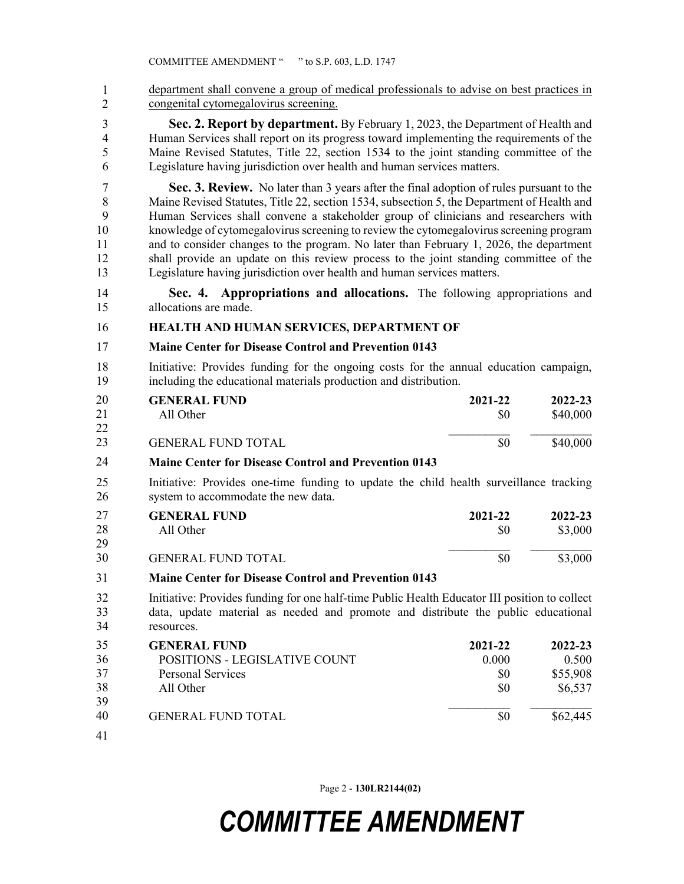35 department shall convene a group of medical professionals to advise on best practices in 36 congenital cytomegalovirus screening. 1 2

3 **Sec. 2. Report by department.** By February 1, 2023, the Department of Health and 4 Human Services shall report on its progress toward implementing the requirements of the 5 Maine Revised Statutes, Title 22, section 1534 to the joint standing committee of the 6 Legislature having jurisdiction over health and human services matters.

7 **Sec. 3. Review.** No later than 3 years after the final adoption of rules pursuant to the 8 Maine Revised Statutes, Title 22, section 1534, subsection 5, the Department of Health and 9 Human Services shall convene a stakeholder group of clinicians and researchers with 10 knowledge of cytomegalovirus screening to review the cytomegalovirus screening program 11 and to consider changes to the program. No later than February 1, 2026, the department 12 shall provide an update on this review process to the joint standing committee of the 13 Legislature having jurisdiction over health and human services matters.

14 **Sec. 4. Appropriations and allocations.** The following appropriations and 15 allocations are made.

### 16 **HEALTH AND HUMAN SERVICES, DEPARTMENT OF**

### 17 **Maine Center for Disease Control and Prevention 0143**

18 Initiative: Provides funding for the ongoing costs for the annual education campaign, 19 including the educational materials production and distribution.

| 20       | <b>GENERAL FUND</b>       | 2021-22 | 2022-23  |
|----------|---------------------------|---------|----------|
| 21       | All Other                 | \$0     | \$40,000 |
| 22<br>23 | <b>GENERAL FUND TOTAL</b> | \$0     | \$40,000 |

#### 20 **Maine Center for Disease Control and Prevention 0143** 24

25 Initiative: Provides one-time funding to update the child health surveillance tracking 26 system to accommodate the new data.

| 27 | <b>GENERAL FUND</b>       | 2021-22 | $2022 - 23$ |
|----|---------------------------|---------|-------------|
| 28 | All Other                 |         | \$3,000     |
| 29 |                           |         |             |
| 30 | <b>GENERAL FUND TOTAL</b> |         | \$3,000     |

#### 27 **Maine Center for Disease Control and Prevention 0143** 31

32 Initiative: Provides funding for one half-time Public Health Educator III position to collect 33 data, update material as needed and promote and distribute the public educational 34 resources.

| 35 | <b>GENERAL FUND</b>           | 2021-22 | 2022-23  |
|----|-------------------------------|---------|----------|
| 36 | POSITIONS - LEGISLATIVE COUNT | 0.000   | 0.500    |
| 37 | <b>Personal Services</b>      | \$0     | \$55,908 |
| 38 | All Other                     | \$0     | \$6,537  |
| 39 |                               |         |          |
| 40 | <b>GENERAL FUND TOTAL</b>     | \$0     | \$62,445 |
| 41 |                               |         |          |

Page 2 - **130LR2144(02)**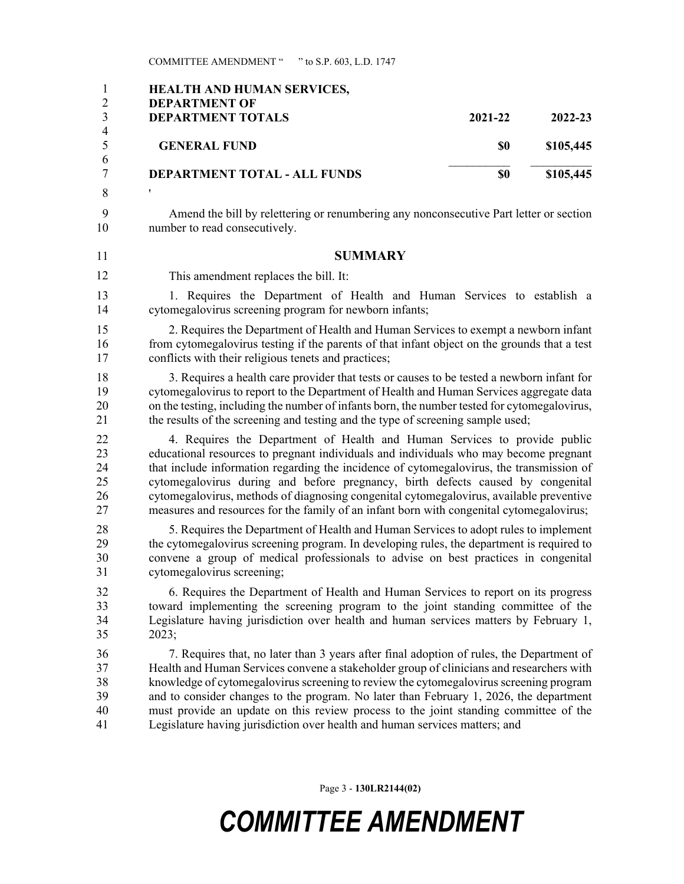COMMITTEE AMENDMENT " " to S.P. 603, L.D. 1747

| $\mathbf{1}$<br>$\mathbf{2}$<br>$\mathfrak{Z}$ | <b>HEALTH AND HUMAN SERVICES,</b><br><b>DEPARTMENT OF</b><br><b>DEPARTMENT TOTALS</b>                                                                                                                                                                                                                                                                                                                                                                                                                                                           | 2021-22 | 2022-23   |
|------------------------------------------------|-------------------------------------------------------------------------------------------------------------------------------------------------------------------------------------------------------------------------------------------------------------------------------------------------------------------------------------------------------------------------------------------------------------------------------------------------------------------------------------------------------------------------------------------------|---------|-----------|
| $\overline{4}$<br>5                            | <b>GENERAL FUND</b>                                                                                                                                                                                                                                                                                                                                                                                                                                                                                                                             | \$0     | \$105,445 |
| 6<br>$\overline{7}$                            | <b>DEPARTMENT TOTAL - ALL FUNDS</b>                                                                                                                                                                                                                                                                                                                                                                                                                                                                                                             | \$0     | \$105,445 |
| 8                                              | ,                                                                                                                                                                                                                                                                                                                                                                                                                                                                                                                                               |         |           |
| 9<br>10                                        | Amend the bill by relettering or renumbering any nonconsecutive Part letter or section<br>number to read consecutively.                                                                                                                                                                                                                                                                                                                                                                                                                         |         |           |
| 11                                             | <b>SUMMARY</b>                                                                                                                                                                                                                                                                                                                                                                                                                                                                                                                                  |         |           |
| 12                                             | This amendment replaces the bill. It:                                                                                                                                                                                                                                                                                                                                                                                                                                                                                                           |         |           |
| 13<br>14                                       | 1. Requires the Department of Health and Human Services to establish a<br>cytomegalovirus screening program for newborn infants;                                                                                                                                                                                                                                                                                                                                                                                                                |         |           |
| 15<br>16<br>17                                 | 2. Requires the Department of Health and Human Services to exempt a newborn infant<br>from cytomegalovirus testing if the parents of that infant object on the grounds that a test<br>conflicts with their religious tenets and practices;                                                                                                                                                                                                                                                                                                      |         |           |
| 18<br>19<br>20<br>21                           | 3. Requires a health care provider that tests or causes to be tested a newborn infant for<br>cytomegalovirus to report to the Department of Health and Human Services aggregate data<br>on the testing, including the number of infants born, the number tested for cytomegalovirus,<br>the results of the screening and testing and the type of screening sample used;                                                                                                                                                                         |         |           |
| 22<br>23<br>24<br>25<br>26<br>27               | 4. Requires the Department of Health and Human Services to provide public<br>educational resources to pregnant individuals and individuals who may become pregnant<br>that include information regarding the incidence of cytomegalovirus, the transmission of<br>cytomegalovirus during and before pregnancy, birth defects caused by congenital<br>cytomegalovirus, methods of diagnosing congenital cytomegalovirus, available preventive<br>measures and resources for the family of an infant born with congenital cytomegalovirus;        |         |           |
| 28<br>29<br>30<br>31                           | 5. Requires the Department of Health and Human Services to adopt rules to implement<br>the cytomegalovirus screening program. In developing rules, the department is required to<br>convene a group of medical professionals to advise on best practices in congenital<br>cytomegalovirus screening;                                                                                                                                                                                                                                            |         |           |
| 32<br>33<br>34<br>35                           | 6. Requires the Department of Health and Human Services to report on its progress<br>toward implementing the screening program to the joint standing committee of the<br>Legislature having jurisdiction over health and human services matters by February 1,<br>2023;                                                                                                                                                                                                                                                                         |         |           |
| 36<br>37<br>38<br>39<br>40<br>41               | 7. Requires that, no later than 3 years after final adoption of rules, the Department of<br>Health and Human Services convene a stakeholder group of clinicians and researchers with<br>knowledge of cytomegalovirus screening to review the cytomegalovirus screening program<br>and to consider changes to the program. No later than February 1, 2026, the department<br>must provide an update on this review process to the joint standing committee of the<br>Legislature having jurisdiction over health and human services matters; and |         |           |

Page 3 - **130LR2144(02)**